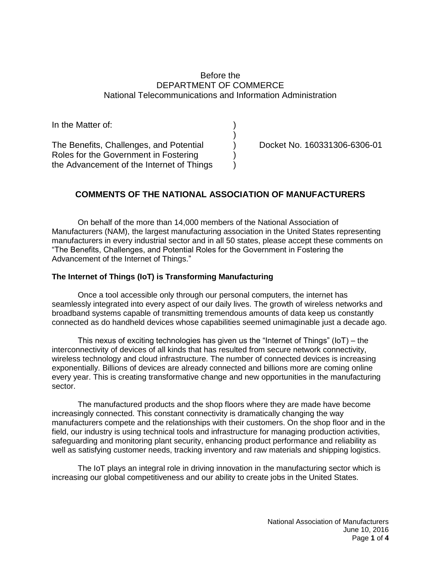# Before the DEPARTMENT OF COMMERCE National Telecommunications and Information Administration

| In the Matter of:                         |  |
|-------------------------------------------|--|
|                                           |  |
| The Benefits, Challenges, and Potential   |  |
| Roles for the Government in Fostering     |  |
| the Advancement of the Internet of Things |  |

Docket No. 160331306-6306-01

# **COMMENTS OF THE NATIONAL ASSOCIATION OF MANUFACTURERS**

On behalf of the more than 14,000 members of the National Association of Manufacturers (NAM), the largest manufacturing association in the United States representing manufacturers in every industrial sector and in all 50 states, please accept these comments on "The Benefits, Challenges, and Potential Roles for the Government in Fostering the Advancement of the Internet of Things."

### **The Internet of Things (IoT) is Transforming Manufacturing**

Once a tool accessible only through our personal computers, the internet has seamlessly integrated into every aspect of our daily lives. The growth of wireless networks and broadband systems capable of transmitting tremendous amounts of data keep us constantly connected as do handheld devices whose capabilities seemed unimaginable just a decade ago.

This nexus of exciting technologies has given us the "Internet of Things" (IoT) – the interconnectivity of devices of all kinds that has resulted from secure network connectivity, wireless technology and cloud infrastructure. The number of connected devices is increasing exponentially. Billions of devices are already connected and billions more are coming online every year. This is creating transformative change and new opportunities in the manufacturing sector.

The manufactured products and the shop floors where they are made have become increasingly connected. This constant connectivity is dramatically changing the way manufacturers compete and the relationships with their customers. On the shop floor and in the field, our industry is using technical tools and infrastructure for managing production activities, safeguarding and monitoring plant security, enhancing product performance and reliability as well as satisfying customer needs, tracking inventory and raw materials and shipping logistics.

The IoT plays an integral role in driving innovation in the manufacturing sector which is increasing our global competitiveness and our ability to create jobs in the United States.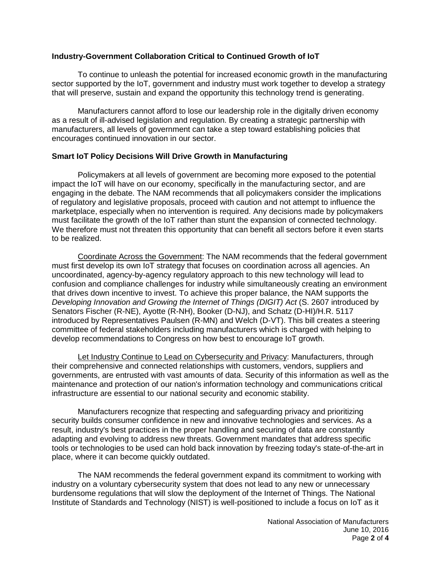# **Industry-Government Collaboration Critical to Continued Growth of IoT**

To continue to unleash the potential for increased economic growth in the manufacturing sector supported by the IoT, government and industry must work together to develop a strategy that will preserve, sustain and expand the opportunity this technology trend is generating.

Manufacturers cannot afford to lose our leadership role in the digitally driven economy as a result of ill-advised legislation and regulation. By creating a strategic partnership with manufacturers, all levels of government can take a step toward establishing policies that encourages continued innovation in our sector.

### **Smart IoT Policy Decisions Will Drive Growth in Manufacturing**

Policymakers at all levels of government are becoming more exposed to the potential impact the IoT will have on our economy, specifically in the manufacturing sector, and are engaging in the debate. The NAM recommends that all policymakers consider the implications of regulatory and legislative proposals, proceed with caution and not attempt to influence the marketplace, especially when no intervention is required. Any decisions made by policymakers must facilitate the growth of the IoT rather than stunt the expansion of connected technology. We therefore must not threaten this opportunity that can benefit all sectors before it even starts to be realized.

Coordinate Across the Government: The NAM recommends that the federal government must first develop its own IoT strategy that focuses on coordination across all agencies. An uncoordinated, agency-by-agency regulatory approach to this new technology will lead to confusion and compliance challenges for industry while simultaneously creating an environment that drives down incentive to invest. To achieve this proper balance, the NAM supports the *Developing Innovation and Growing the Internet of Things (DIGIT) Act* (S. 2607 introduced by Senators Fischer (R-NE), Ayotte (R-NH), Booker (D-NJ), and Schatz (D-HI)/H.R. 5117 introduced by Representatives Paulsen (R-MN) and Welch (D-VT). This bill creates a steering committee of federal stakeholders including manufacturers which is charged with helping to develop recommendations to Congress on how best to encourage IoT growth.

Let Industry Continue to Lead on Cybersecurity and Privacy: Manufacturers, through their comprehensive and connected relationships with customers, vendors, suppliers and governments, are entrusted with vast amounts of data. Security of this information as well as the maintenance and protection of our nation's information technology and communications critical infrastructure are essential to our national security and economic stability.

Manufacturers recognize that respecting and safeguarding privacy and prioritizing security builds consumer confidence in new and innovative technologies and services. As a result, industry's best practices in the proper handling and securing of data are constantly adapting and evolving to address new threats. Government mandates that address specific tools or technologies to be used can hold back innovation by freezing today's state-of-the-art in place, where it can become quickly outdated.

The NAM recommends the federal government expand its commitment to working with industry on a voluntary cybersecurity system that does not lead to any new or unnecessary burdensome regulations that will slow the deployment of the Internet of Things. The National Institute of Standards and Technology (NIST) is well-positioned to include a focus on IoT as it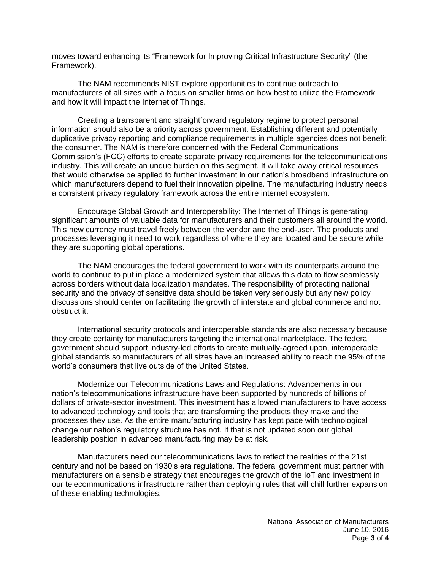moves toward enhancing its "Framework for Improving Critical Infrastructure Security" (the Framework).

The NAM recommends NIST explore opportunities to continue outreach to manufacturers of all sizes with a focus on smaller firms on how best to utilize the Framework and how it will impact the Internet of Things.

Creating a transparent and straightforward regulatory regime to protect personal information should also be a priority across government. Establishing different and potentially duplicative privacy reporting and compliance requirements in multiple agencies does not benefit the consumer. The NAM is therefore concerned with the Federal Communications Commission's (FCC) efforts to create separate privacy requirements for the telecommunications industry. This will create an undue burden on this segment. It will take away critical resources that would otherwise be applied to further investment in our nation's broadband infrastructure on which manufacturers depend to fuel their innovation pipeline. The manufacturing industry needs a consistent privacy regulatory framework across the entire internet ecosystem.

Encourage Global Growth and Interoperability: The Internet of Things is generating significant amounts of valuable data for manufacturers and their customers all around the world. This new currency must travel freely between the vendor and the end-user. The products and processes leveraging it need to work regardless of where they are located and be secure while they are supporting global operations.

The NAM encourages the federal government to work with its counterparts around the world to continue to put in place a modernized system that allows this data to flow seamlessly across borders without data localization mandates. The responsibility of protecting national security and the privacy of sensitive data should be taken very seriously but any new policy discussions should center on facilitating the growth of interstate and global commerce and not obstruct it.

International security protocols and interoperable standards are also necessary because they create certainty for manufacturers targeting the international marketplace. The federal government should support industry-led efforts to create mutually-agreed upon, interoperable global standards so manufacturers of all sizes have an increased ability to reach the 95% of the world's consumers that live outside of the United States.

Modernize our Telecommunications Laws and Regulations: Advancements in our nation's telecommunications infrastructure have been supported by hundreds of billions of dollars of private-sector investment. This investment has allowed manufacturers to have access to advanced technology and tools that are transforming the products they make and the processes they use. As the entire manufacturing industry has kept pace with technological change our nation's regulatory structure has not. If that is not updated soon our global leadership position in advanced manufacturing may be at risk.

Manufacturers need our telecommunications laws to reflect the realities of the 21st century and not be based on 1930's era regulations. The federal government must partner with manufacturers on a sensible strategy that encourages the growth of the IoT and investment in our telecommunications infrastructure rather than deploying rules that will chill further expansion of these enabling technologies.